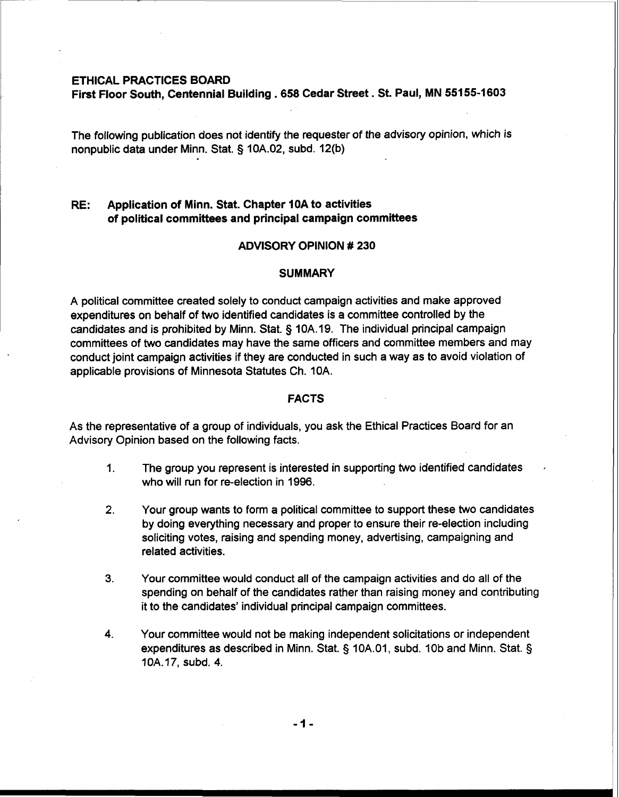### **ETHICAL PRACTICES BOARD**

**First Floor South, Centennial Building** . **658 Cedar Street. St. Paul, MN 55155-1603** 

The following publication does not identify the requester of the advisory opinion, which is nonpublic data under Minn. Stat. **5** 10A.02, subd. 12(b)

# **RE: Application of Minn. Stat. Chapter 10A to activities of political committees and principal campaign committees**

### **ADVISORY OPINION** # **230**

### **SUMMARY**

A political committee created solely to conduct campaign activities and make approved expenditures on behalf of two identified candidates is a committee controlled by the candidates and is prohibited by Minn. Stat. § 10A.19. The individual principal campaign committees of two candidates may have the same officers and committee members and may conduct joint campaign activities if they are conducted in such a way as to avoid violation of applicable provisions of Minnesota Statutes Ch. 10A.

#### **FACTS**

As the representative of a group of individuals, you ask the Ethical Practices Board for an Advisory Opinion based on the following facts.

- 1. The group you represent is interested in supporting two identified candidates who will run for re-election in 1996.
- **2.** Your group wants to form a political committee to support these two candidates by doing everything necessary and proper to ensure their re-election including soliciting votes, raising and spending money, advertising, campaigning and related activities.
- **3.** Your committee would conduct all of the campaign activities and do all of the spending on behalf of the candidates rather than raising money and contributing it to the candidates' individual principal campaign committees.
- **4.** Your committee would not be making independent solicitations or independent expenditures as described in Minn. Stat. § 10A.01, subd. 10b and Minn. Stat. § 10A. **17,** subd. 4.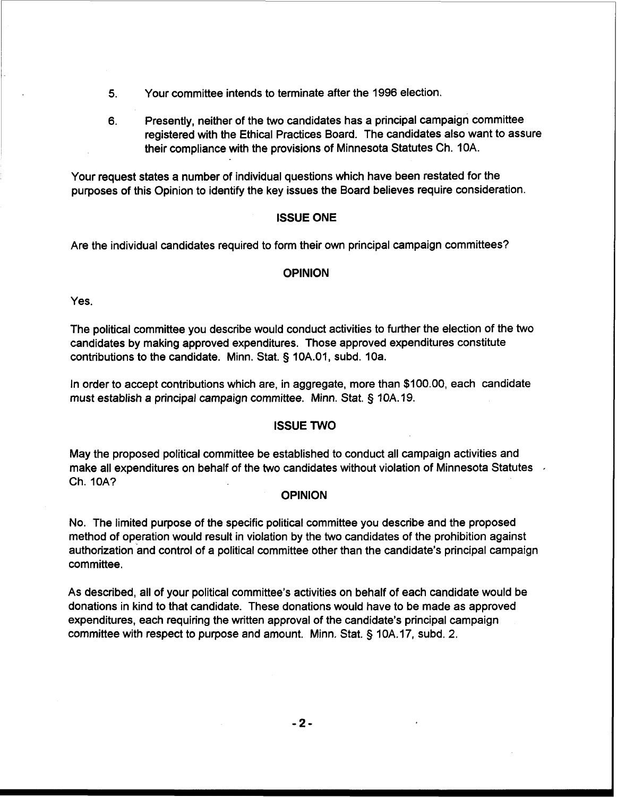- **5.** Your committee intends to terminate after the 1996 election.
- 6. Presently, neither of the two candidates has a principal campaign committee registered with the Ethical Practices Board. The candidates also want to assure their compliance with the provisions of Minnesota Statutes Ch. 10A.

Your request states a number of individual questions which have been restated for the purposes of this Opinion to identify the key issues the Board believes require consideration.

# ISSUE ONE

Are the individual candidates required to form their own principal campaign committees?

# **OPINION**

Yes.

The political committee you describe would conduct activities to further the election of the two candidates by making approved expenditures. Those approved expenditures constitute contributions to the candidate. Minn. Stat. **5** 10A.01, subd. 10a.

In order to accept contributions which are, in aggregate, more than \$100.00, each candidate must establish a principal campaign committee. Minn. Stat. § 10A. 19.

## ISSUE TWO

May the proposed political committee be established to conduct all campaign activities and make all expenditures on behalf of the two candidates without violation of Minnesota Statutes , Ch. IOA?

## **OPINION**

No. The limited purpose of the specific political committee you describe and the proposed method of operation would result in violation by the two candidates of the prohibition against authorization and control of a political committee other than the candidate's principal campaign committee.

As described, ail of your political committee's activities on behalf of each candidate would be donations in kind to that candidate. These donations would have to be made as approved expenditures, each requiring the written approval of the candidate's principal campaign committee with respect to purpose and amount. Minn. Stat. **5** 10A. 17, subd. 2.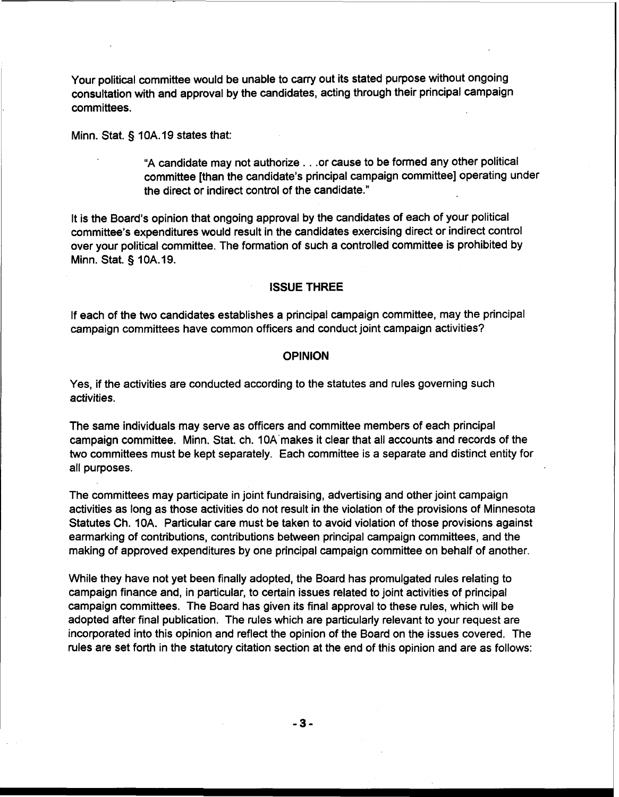Your political committee would be unable to carry out its stated purpose without ongoing consultation with and approval by the candidates, acting through their principal campaign committees.

Minn. Stat. **5** 10A. 19 states that:

"A candidate may not authorize . . .or cause to be formed any other political committee [than the candidate's principal campaign committee] operating under the direct or indirect control of the candidate."

It is the Board's opinion that ongoing approval by the candidates of each of your political committee's expenditures would result in the candidates exercising direct or indirect control over your political committee. The formation of such a controlled committee is prohibited by Minn. Stat. § 10A.19.

### **ISSUE THREE**

If each of the two candidates establishes a principal campaign committee, may the principal campaign committees have common officers and conduct joint campaign activities?

### **OPINION**

Yes, if the activities are conducted according to the statutes and rules governing such activities.

The same individuals may serve as officers and committee members of each principal campaign committee. Minn. Stat. ch. 10A'makes it clear that all accounts and records of the two committees must be kept separately. Each committee is a separate and distinct entity for all purposes.

The committees may participate in joint fundraising, advertising and other joint campaign activities as long as those activities do not result in the violation of the provisions of Minnesota Statutes Ch. 10A. Particular care must be taken to avoid violation of those provisions against earmarking of contributions, contributions between principal campaign committees, and the making of approved expenditures by one principal campaign committee on behalf of another.

While they have not yet been finally adopted, the Board has promulgated rules relating to campaign finance and, in particular, to certain issues related to joint activities of principal campaign committees. The Board has given its final approval to these rules, which will be adopted after final publication. The rules which are particularly relevant to your request are incorporated into this opinion and reflect the opinion of the Board on the issues covered. The rules are set forth in the statutory citation section at the end of this opinion and are as follows: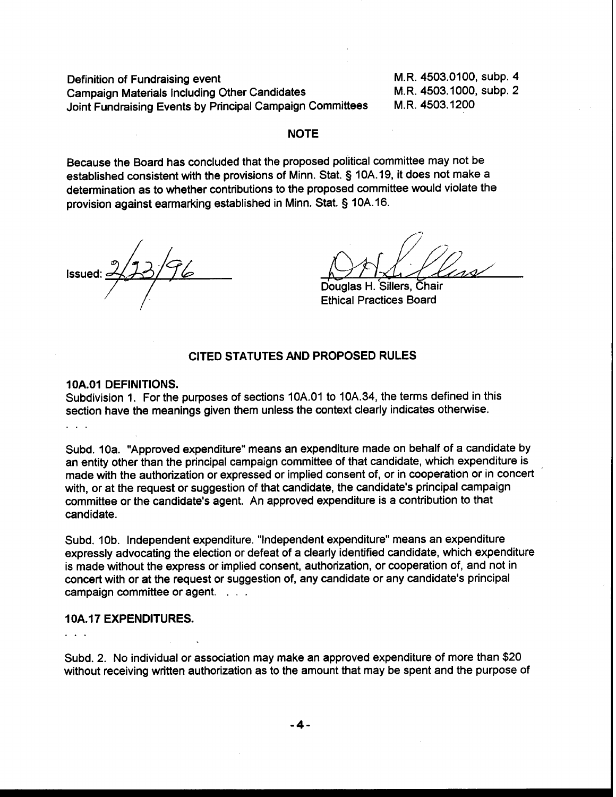Definition of Fundraising event M.R. 4503.0100, subp. 4<br>Campaign Materials Including Other Candidates M.R. 4503.1000, subp. 2 Campaign Materials Including Other Candidates M.R. 4503.1000,<br>Joint Fundraising Events by Principal Campaign Committees M.R. 4503.1200 Joint Fundraising Events by Principal Campaign Committees

## **NOTE**

Because the Board has concluded that the proposed political committee may not be established consistent with the provisions of Minn. Stat. **3** 10A. 19, it does not make a determination as to whether contributions to the proposed committee would violate the provision against earmarking established in Minn. Stat. **3** 10A.16.

Douglas H. Sillers, Chair Ethical Practices Board

# **CITED STATUTES AND PROPOSED RULES**

### **1 OA.01 DEFINITIONS.**

Subdivision 1. For the purposes of sections 10A.O1 to 10A.34, the terms defined in this section have the meanings given them unless the context clearly indicates otherwise.  $1 - 1$ 

Subd. 10a. "Approved expenditure" means an expenditure made on behalf of a candidate by an entity other than the principal campaign committee of that candidate, which expenditure is made with the authorization or expressed or implied consent of, or in cooperation or in concert ' with, or at the request or suggestion of that candidate, the candidate's principal campaign committee or the candidate's agent. An approved expenditure is a contribution to that candidate.

Subd. 10b. Independent expenditure. "Independent expenditure" means an expenditure expressly advocating the election or defeat of a clearly identified candidate, which expenditure is made without the express or implied consent, authorization, or cooperation of, and not in concert with or at the request or suggestion of, any candidate or any candidate's principal campaign committee or agent. . . .

### **1 0A.17 EXPENDITURES.**

 $\mathbf{1}$   $\mathbf{1}$   $\mathbf{1}$ 

Subd. 2. No individual or association may make an approved expenditure of more than \$20 without receiving written authorization as to the amount that may be spent and the purpose of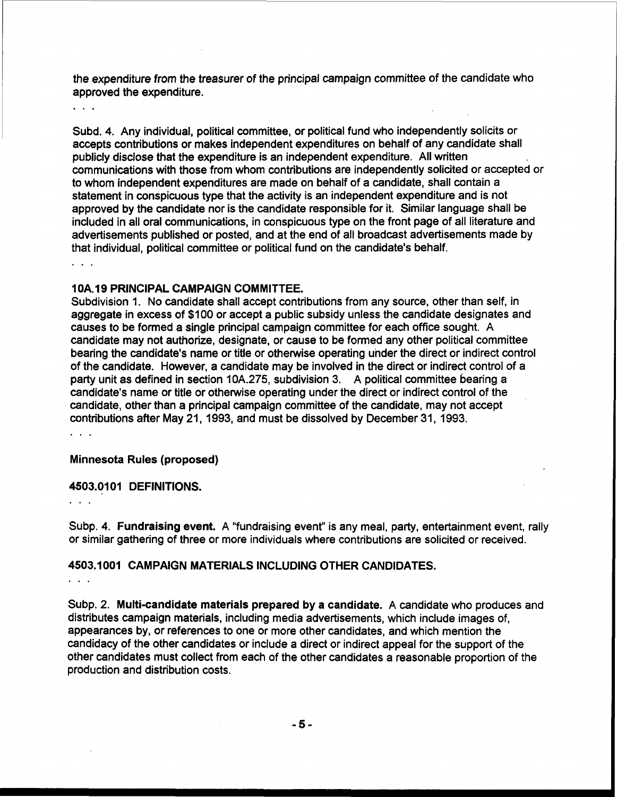the expenditure from the treasurer of the principal campaign committee of the candidate who approved the expenditure.

Subd. 4. Any individual, political committee, or political fund who independently solicits or accepts contributions or makes independent expenditures on behalf of any candidate shall publicly disclose that the expenditure is an independent expenditure. All written communications with those from whom contributions are independently solicited or accepted or to whom independent expenditures are made on behalf of a candidate, shall contain a statement in conspicuous type that the activity is an independent expenditure and is not approved by the candidate nor is the candidate responsible for it. Similar language shall be included in all oral communications, in conspicuous type on the front page of all literature and advertisements published or posted, and at the end of all broadcast advertisements made by that individual, political committee or political fund on the candidate's behalf.

### 10A.19 PRINCIPAL CAMPAIGN COMMITTEE.

Subdivision 1. No candidate shall accept contributions from any source, other than self, in aggregate in excess of \$100 or accept a public subsidy unless the candidate designates and causes to be formed a single principal campaign committee for each office sought. A candidate may not authorize, designate, or cause to be formed any other political committee bearing the candidate's name or title or otherwise operating under the direct or indirect control of the candidate. However, a candidate may be involved in the direct or indirect control of a party unit as defined in section 10A.275, subdivision 3. A political committee bearing a candidate's name or title or otherwise operating under the direct or indirect control of the candidate, other than a principal campaign committee of the candidate, may not accept contributions after May 21, 1993, and must be dissolved by December 31, 1993.

 $2.12 - 2.$ 

 $\cdots$ 

#### Minnesota Rules (proposed)

#### 4503.0101 DEFINITIONS.

Subp. 4. Fundraising event. A "fundraising event" is any meal, party, entertainment event, rally or similar gathering of three or more individuals where contributions are solicited or received.

## 4503.1 001 CAMPAIGN MATERIALS INCLUDING OTHER CANDIDATES.

. . .

Subp. 2. Multi-candidate materials prepared by a candidate. A candidate who produces and distributes campaign materials, including media advertisements, which include images of, appearances by, or references to one or more other candidates, and which mention the candidacy of the other candidates or include a direct or indirect appeal for the support of the other candidates must collect from each of the other candidates a reasonable proportion of the production and distribution costs.